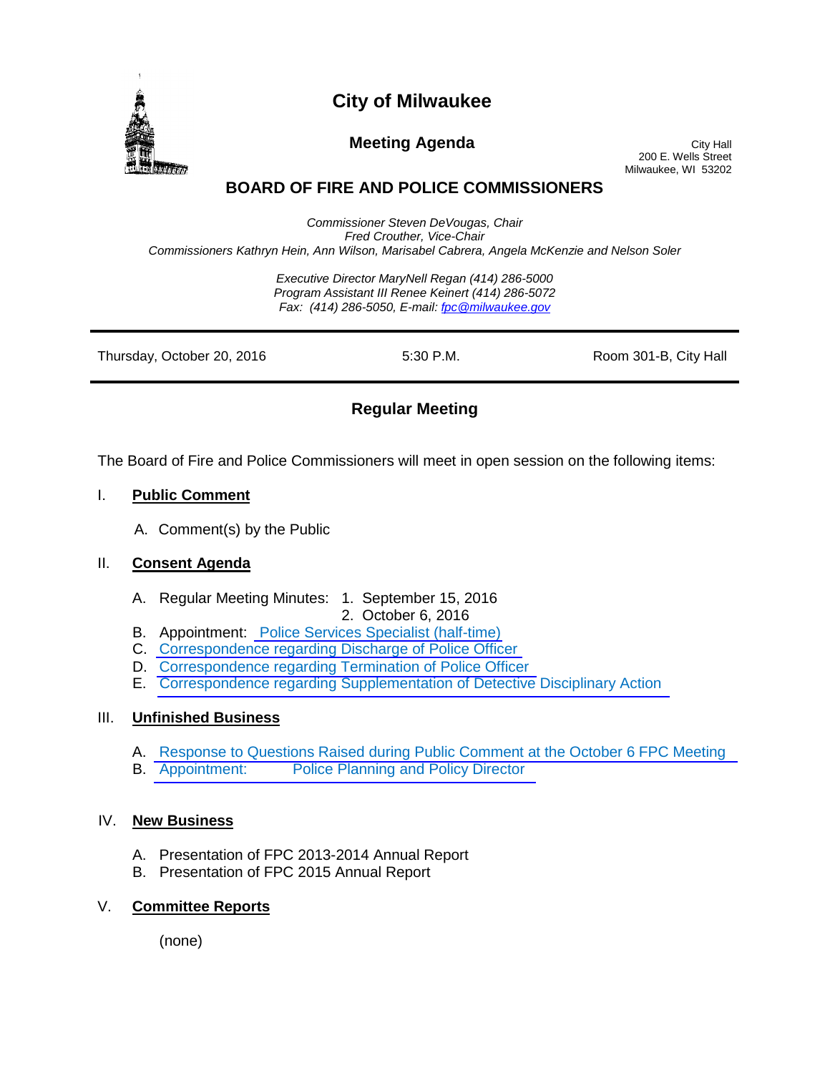

# **City of Milwaukee**

**Meeting Agenda** City Hall

200 E. Wells Street Milwaukee, WI 53202

## **BOARD OF FIRE AND POLICE COMMISSIONERS**

*Commissioner Steven DeVougas, Chair Fred Crouther, Vice-Chair Commissioners Kathryn Hein, Ann Wilson, Marisabel Cabrera, Angela McKenzie and Nelson Soler*

> *Executive Director MaryNell Regan (414) 286-5000 Program Assistant III Renee Keinert (414) 286-5072 Fax: (414) 286-5050, E-mail: fpc@milwaukee.gov*

| Thursday, October 20, 2016 | 5:30 P.M. | Room 301-B, City Hall |
|----------------------------|-----------|-----------------------|
|                            |           |                       |

### **Regular Meeting**

The Board of Fire and Police Commissioners will meet in open session on the following items:

#### I. **Public Comment**

A. Comment(s) by the Public

#### II. **Consent Agenda**

- A. Regular Meeting Minutes: 1. September 15, 2016
	- 2. October 6, 2016
- B. Appointment: [Police Services Specialist \(half-time\)](http://www.city.milwaukee.gov/ImageLibrary/Groups/cityFPC/agendas5/161020_II_B.pdf)
- C. Correspondence [regarding Discharge of Police Officer](http://www.city.milwaukee.gov/ImageLibrary/Groups/cityFPC/agendas5/161020_II_C.pdf)
- D. [Correspondence regarding Termination of Police Officer](http://www.city.milwaukee.gov/ImageLibrary/Groups/cityFPC/agendas5/161020_II_D.pdf)
- E. [Correspondence regarding Supplementation of Detective Disciplinary Action](http://www.city.milwaukee.gov/ImageLibrary/Groups/cityFPC/agendas5/161020_II_E.pdf)

#### III. **Unfinished Business**

- A. [Response to Questions Raised during Public Comment at the October 6](http://www.city.milwaukee.gov/ImageLibrary/Groups/cityFPC/agendas5/161020_III_A.pdf) FPC Meeting
- B. Appointment: [Police Planning and Policy Director](http://www.city.milwaukee.gov/ImageLibrary/Groups/cityFPC/agendas5/161020_III_B.pdf)

#### IV. **New Business**

- A. Presentation of FPC 2013-2014 Annual Report
- B. Presentation of FPC 2015 Annual Report

#### V. **Committee Reports**

(none)